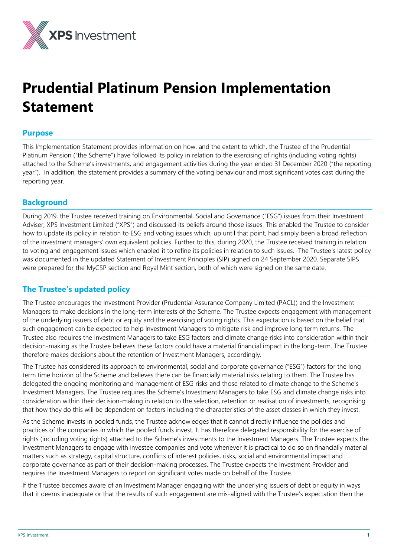

# **Prudential Platinum Pension Implementation Statement**

# **Purpose**

This Implementation Statement provides information on how, and the extent to which, the Trustee of the Prudential Platinum Pension ("the Scheme") have followed its policy in relation to the exercising of rights (including voting rights) attached to the Scheme's investments, and engagement activities during the year ended 31 December 2020 ("the reporting year"). In addition, the statement provides a summary of the voting behaviour and most significant votes cast during the reporting year.

# **Background**

During 2019, the Trustee received training on Environmental, Social and Governance ("ESG") issues from their Investment Adviser, XPS Investment Limited ("XPS") and discussed its beliefs around those issues. This enabled the Trustee to consider how to update its policy in relation to ESG and voting issues which, up until that point, had simply been a broad reflection of the investment managers' own equivalent policies. Further to this, during 2020, the Trustee received training in relation to voting and engagement issues which enabled it to refine its policies in relation to such issues. The Trustee's latest policy was documented in the updated Statement of Investment Principles (SIP) signed on 24 September 2020. Separate SIPS were prepared for the MyCSP section and Royal Mint section, both of which were signed on the same date.

# **The Trustee's updated policy**

The Trustee encourages the Investment Provider (Prudential Assurance Company Limited (PACL)) and the Investment Managers to make decisions in the long-term interests of the Scheme. The Trustee expects engagement with management of the underlying issuers of debt or equity and the exercising of voting rights. This expectation is based on the belief that such engagement can be expected to help Investment Managers to mitigate risk and improve long term returns. The Trustee also requires the Investment Managers to take ESG factors and climate change risks into consideration within their decision-making as the Trustee believes these factors could have a material financial impact in the long-term. The Trustee therefore makes decisions about the retention of Investment Managers, accordingly.

The Trustee has considered its approach to environmental, social and corporate governance ("ESG") factors for the long term time horizon of the Scheme and believes there can be financially material risks relating to them. The Trustee has delegated the ongoing monitoring and management of ESG risks and those related to climate change to the Scheme's Investment Managers. The Trustee requires the Scheme's Investment Managers to take ESG and climate change risks into consideration within their decision-making in relation to the selection, retention or realisation of investments, recognising that how they do this will be dependent on factors including the characteristics of the asset classes in which they invest.

As the Scheme invests in pooled funds, the Trustee acknowledges that it cannot directly influence the policies and practices of the companies in which the pooled funds invest. It has therefore delegated responsibility for the exercise of rights (including voting rights) attached to the Scheme's investments to the Investment Managers. The Trustee expects the Investment Managers to engage with investee companies and vote whenever it is practical to do so on financially material matters such as strategy, capital structure, conflicts of interest policies, risks, social and environmental impact and corporate governance as part of their decision-making processes. The Trustee expects the Investment Provider and requires the Investment Managers to report on significant votes made on behalf of the Trustee.

If the Trustee becomes aware of an Investment Manager engaging with the underlying issuers of debt or equity in ways that it deems inadequate or that the results of such engagement are mis-aligned with the Trustee's expectation then the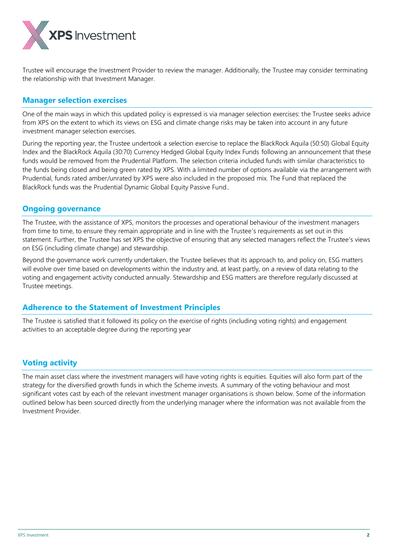

Trustee will encourage the Investment Provider to review the manager. Additionally, the Trustee may consider terminating the relationship with that Investment Manager.

# **Manager selection exercises**

One of the main ways in which this updated policy is expressed is via manager selection exercises: the Trustee seeks advice from XPS on the extent to which its views on ESG and climate change risks may be taken into account in any future investment manager selection exercises.

During the reporting year, the Trustee undertook a selection exercise to replace the BlackRock Aquila (50:50) Global Equity Index and the BlackRock Aquila (30:70) Currency Hedged Global Equity Index Funds following an announcement that these funds would be removed from the Prudential Platform. The selection criteria included funds with similar characteristics to the funds being closed and being green rated by XPS. With a limited number of options available via the arrangement with Prudential, funds rated amber/unrated by XPS were also included in the proposed mix. The Fund that replaced the BlackRock funds was the Prudential Dynamic Global Equity Passive Fund..

# **Ongoing governance**

The Trustee, with the assistance of XPS, monitors the processes and operational behaviour of the investment managers from time to time, to ensure they remain appropriate and in line with the Trustee's requirements as set out in this statement. Further, the Trustee has set XPS the objective of ensuring that any selected managers reflect the Trustee's views on ESG (including climate change) and stewardship.

Beyond the governance work currently undertaken, the Trustee believes that its approach to, and policy on, ESG matters will evolve over time based on developments within the industry and, at least partly, on a review of data relating to the voting and engagement activity conducted annually. Stewardship and ESG matters are therefore regularly discussed at Trustee meetings.

# **Adherence to the Statement of Investment Principles**

The Trustee is satisfied that it followed its policy on the exercise of rights (including voting rights) and engagement activities to an acceptable degree during the reporting year

# **Voting activity**

The main asset class where the investment managers will have voting rights is equities. Equities will also form part of the strategy for the diversified growth funds in which the Scheme invests. A summary of the voting behaviour and most significant votes cast by each of the relevant investment manager organisations is shown below. Some of the information outlined below has been sourced directly from the underlying manager where the information was not available from the Investment Provider.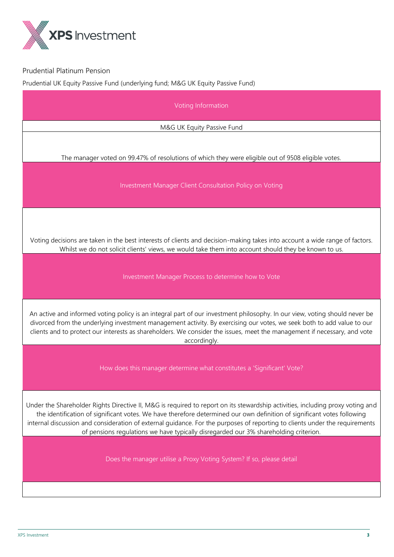

Prudential Platinum Pension

Prudential UK Equity Passive Fund (underlying fund; M&G UK Equity Passive Fund)

| Voting Information                                                                                                                                                                                                                                                                                                                                                                                                                                                               |  |  |
|----------------------------------------------------------------------------------------------------------------------------------------------------------------------------------------------------------------------------------------------------------------------------------------------------------------------------------------------------------------------------------------------------------------------------------------------------------------------------------|--|--|
| M&G UK Equity Passive Fund                                                                                                                                                                                                                                                                                                                                                                                                                                                       |  |  |
| The manager voted on 99.47% of resolutions of which they were eligible out of 9508 eligible votes.                                                                                                                                                                                                                                                                                                                                                                               |  |  |
| Investment Manager Client Consultation Policy on Voting                                                                                                                                                                                                                                                                                                                                                                                                                          |  |  |
| Voting decisions are taken in the best interests of clients and decision-making takes into account a wide range of factors.<br>Whilst we do not solicit clients' views, we would take them into account should they be known to us.                                                                                                                                                                                                                                              |  |  |
| Investment Manager Process to determine how to Vote                                                                                                                                                                                                                                                                                                                                                                                                                              |  |  |
| An active and informed voting policy is an integral part of our investment philosophy. In our view, voting should never be<br>divorced from the underlying investment management activity. By exercising our votes, we seek both to add value to our<br>clients and to protect our interests as shareholders. We consider the issues, meet the management if necessary, and vote<br>accordingly.                                                                                 |  |  |
| How does this manager determine what constitutes a 'Significant' Vote?                                                                                                                                                                                                                                                                                                                                                                                                           |  |  |
| Under the Shareholder Rights Directive II, M&G is required to report on its stewardship activities, including proxy voting and<br>the identification of significant votes. We have therefore determined our own definition of significant votes following<br>internal discussion and consideration of external guidance. For the purposes of reporting to clients under the requirements<br>of pensions regulations we have typically disregarded our 3% shareholding criterion. |  |  |
| Does the manager utilise a Proxy Voting System? If so, please detail                                                                                                                                                                                                                                                                                                                                                                                                             |  |  |
|                                                                                                                                                                                                                                                                                                                                                                                                                                                                                  |  |  |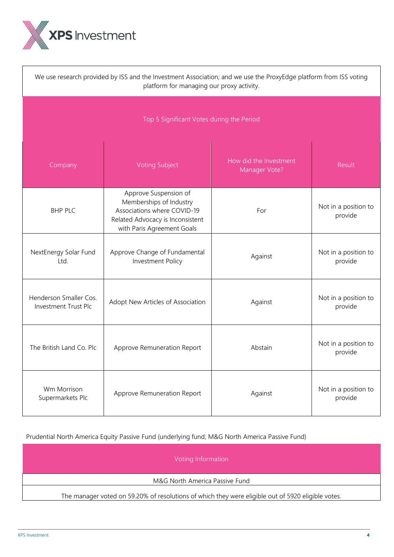

| We use research provided by ISS and the Investment Association; and we use the ProxyEdge platform from ISS voting<br>platform for managing our proxy activity. |                                                                                                                                                   |         |                                 |
|----------------------------------------------------------------------------------------------------------------------------------------------------------------|---------------------------------------------------------------------------------------------------------------------------------------------------|---------|---------------------------------|
| Top 5 Significant Votes during the Period                                                                                                                      |                                                                                                                                                   |         |                                 |
| Company                                                                                                                                                        | Result                                                                                                                                            |         |                                 |
| <b>BHP PLC</b>                                                                                                                                                 | Approve Suspension of<br>Memberships of Industry<br>Associations where COVID-19<br>Related Advocacy is Inconsistent<br>with Paris Agreement Goals | For     | Not in a position to<br>provide |
| NextEnergy Solar Fund<br>Ltd.                                                                                                                                  | Approve Change of Fundamental<br>Investment Policy                                                                                                | Against | Not in a position to<br>provide |
| Henderson Smaller Cos.<br>Investment Trust Plc                                                                                                                 | Adopt New Articles of Association                                                                                                                 | Against | Not in a position to<br>provide |
| The British Land Co. Plc                                                                                                                                       | Approve Remuneration Report                                                                                                                       | Abstain | Not in a position to<br>provide |
| Wm Morrison<br>Supermarkets Plc                                                                                                                                | Approve Remuneration Report                                                                                                                       | Against | Not in a position to<br>provide |

Prudential North America Equity Passive Fund (underlying fund; M&G North America Passive Fund)

Voting Information

M&G North America Passive Fund

The manager voted on 59.20% of resolutions of which they were eligible out of 5920 eligible votes.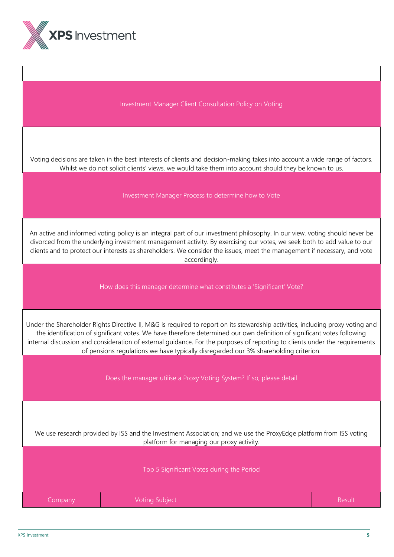

Investment Manager Client Consultation Policy on Voting

Voting decisions are taken in the best interests of clients and decision-making takes into account a wide range of factors. Whilst we do not solicit clients' views, we would take them into account should they be known to us.

Investment Manager Process to determine how to Vote

An active and informed voting policy is an integral part of our investment philosophy. In our view, voting should never be divorced from the underlying investment management activity. By exercising our votes, we seek both to add value to our clients and to protect our interests as shareholders. We consider the issues, meet the management if necessary, and vote accordingly.

How does this manager determine what constitutes a 'Significant' Vote?

Under the Shareholder Rights Directive II, M&G is required to report on its stewardship activities, including proxy voting and the identification of significant votes. We have therefore determined our own definition of significant votes following internal discussion and consideration of external guidance. For the purposes of reporting to clients under the requirements of pensions regulations we have typically disregarded our 3% shareholding criterion.

Does the manager utilise a Proxy Voting System? If so, please detail

We use research provided by ISS and the Investment Association; and we use the ProxyEdge platform from ISS voting platform for managing our proxy activity.

Top 5 Significant Votes during the Period

| Company | Voting Subject | .Result' |
|---------|----------------|----------|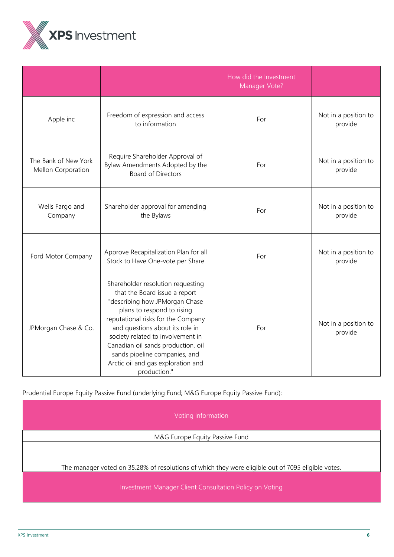

|                                            |                                                                                                                                                                                                                                                                                                                                                                               | How did the Investment<br>Manager Vote? |                                 |
|--------------------------------------------|-------------------------------------------------------------------------------------------------------------------------------------------------------------------------------------------------------------------------------------------------------------------------------------------------------------------------------------------------------------------------------|-----------------------------------------|---------------------------------|
| Apple inc                                  | Freedom of expression and access<br>to information                                                                                                                                                                                                                                                                                                                            | For                                     | Not in a position to<br>provide |
| The Bank of New York<br>Mellon Corporation | Require Shareholder Approval of<br>Bylaw Amendments Adopted by the<br><b>Board of Directors</b>                                                                                                                                                                                                                                                                               | For                                     | Not in a position to<br>provide |
| Wells Fargo and<br>Company                 | Shareholder approval for amending<br>the Bylaws                                                                                                                                                                                                                                                                                                                               | For                                     | Not in a position to<br>provide |
| Ford Motor Company                         | Approve Recapitalization Plan for all<br>Stock to Have One-vote per Share                                                                                                                                                                                                                                                                                                     | For                                     | Not in a position to<br>provide |
| JPMorgan Chase & Co.                       | Shareholder resolution requesting<br>that the Board issue a report<br>"describing how JPMorgan Chase<br>plans to respond to rising<br>reputational risks for the Company<br>and questions about its role in<br>society related to involvement in<br>Canadian oil sands production, oil<br>sands pipeline companies, and<br>Arctic oil and gas exploration and<br>production." | For                                     | Not in a position to<br>provide |

Prudential Europe Equity Passive Fund (underlying Fund; M&G Europe Equity Passive Fund):

Voting Information M&G Europe Equity Passive Fund The manager voted on 35.28% of resolutions of which they were eligible out of 7095 eligible votes. Investment Manager Client Consultation Policy on Voting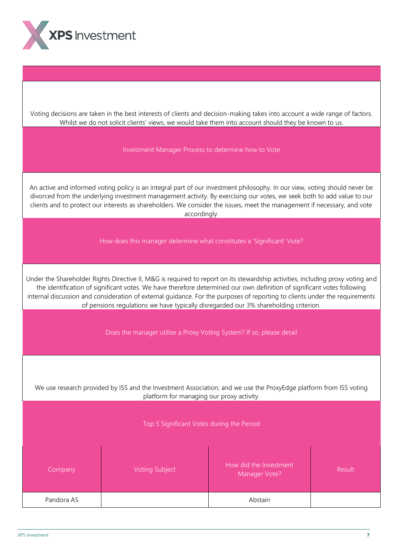

Voting decisions are taken in the best interests of clients and decision-making takes into account a wide range of factors. Whilst we do not solicit clients' views, we would take them into account should they be known to us.

#### Investment Manager Process to determine how to Vote

An active and informed voting policy is an integral part of our investment philosophy. In our view, voting should never be divorced from the underlying investment management activity. By exercising our votes, we seek both to add value to our clients and to protect our interests as shareholders. We consider the issues, meet the management if necessary, and vote accordingly.

How does this manager determine what constitutes a 'Significant' Vote?

Under the Shareholder Rights Directive II, M&G is required to report on its stewardship activities, including proxy voting and the identification of significant votes. We have therefore determined our own definition of significant votes following internal discussion and consideration of external guidance. For the purposes of reporting to clients under the requirements of pensions regulations we have typically disregarded our 3% shareholding criterion.

Does the manager utilise a Proxy Voting System? If so, please detail

We use research provided by ISS and the Investment Association; and we use the ProxyEdge platform from ISS voting platform for managing our proxy activity.

Top 5 Significant Votes during the Period

| Company    | <b>Voting Subject</b> | How did the Investment<br>Manager Vote? | Result |
|------------|-----------------------|-----------------------------------------|--------|
| Pandora AS |                       | Abstain                                 |        |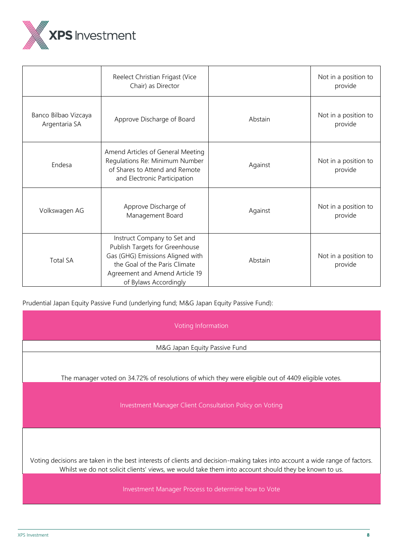

|                                       | Reelect Christian Frigast (Vice<br>Chair) as Director                                                                                                                                         |         | Not in a position to<br>provide |
|---------------------------------------|-----------------------------------------------------------------------------------------------------------------------------------------------------------------------------------------------|---------|---------------------------------|
| Banco Bilbao Vizcaya<br>Argentaria SA | Approve Discharge of Board                                                                                                                                                                    | Abstain | Not in a position to<br>provide |
| Endesa                                | Amend Articles of General Meeting<br>Regulations Re: Minimum Number<br>of Shares to Attend and Remote<br>and Electronic Participation                                                         | Against | Not in a position to<br>provide |
| Volkswagen AG                         | Approve Discharge of<br>Management Board                                                                                                                                                      | Against | Not in a position to<br>provide |
| <b>Total SA</b>                       | Instruct Company to Set and<br>Publish Targets for Greenhouse<br>Gas (GHG) Emissions Aligned with<br>the Goal of the Paris Climate<br>Agreement and Amend Article 19<br>of Bylaws Accordingly | Abstain | Not in a position to<br>provide |

Prudential Japan Equity Passive Fund (underlying fund; M&G Japan Equity Passive Fund):

Voting Information

M&G Japan Equity Passive Fund

The manager voted on 34.72% of resolutions of which they were eligible out of 4409 eligible votes.

Investment Manager Client Consultation Policy on Voting

Voting decisions are taken in the best interests of clients and decision-making takes into account a wide range of factors. Whilst we do not solicit clients' views, we would take them into account should they be known to us.

Investment Manager Process to determine how to Vote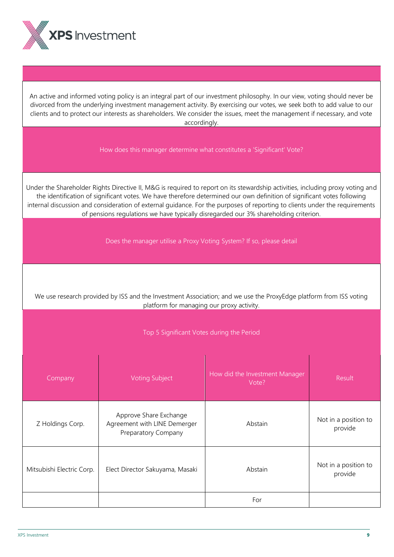

An active and informed voting policy is an integral part of our investment philosophy. In our view, voting should never be divorced from the underlying investment management activity. By exercising our votes, we seek both to add value to our clients and to protect our interests as shareholders. We consider the issues, meet the management if necessary, and vote accordingly.

How does this manager determine what constitutes a 'Significant' Vote?

Under the Shareholder Rights Directive II, M&G is required to report on its stewardship activities, including proxy voting and the identification of significant votes. We have therefore determined our own definition of significant votes following internal discussion and consideration of external guidance. For the purposes of reporting to clients under the requirements of pensions regulations we have typically disregarded our 3% shareholding criterion.

Does the manager utilise a Proxy Voting System? If so, please detail

We use research provided by ISS and the Investment Association; and we use the ProxyEdge platform from ISS voting platform for managing our proxy activity.

Top 5 Significant Votes during the Period

| Company                   | <b>Voting Subject</b>                                                         | How did the Investment Manager<br>Vote? | Result                          |
|---------------------------|-------------------------------------------------------------------------------|-----------------------------------------|---------------------------------|
| Z Holdings Corp.          | Approve Share Exchange<br>Agreement with LINE Demerger<br>Preparatory Company | Abstain                                 | Not in a position to<br>provide |
| Mitsubishi Electric Corp. | Elect Director Sakuyama, Masaki                                               | Abstain                                 | Not in a position to<br>provide |
|                           |                                                                               | For                                     |                                 |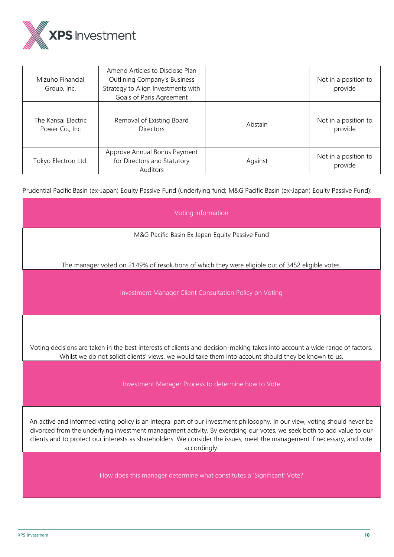

| Mizuho Financial<br>Group, Inc.        | Amend Articles to Disclose Plan<br><b>Outlining Company's Business</b><br>Strategy to Align Investments with<br>Goals of Paris Agreement |         | Not in a position to<br>provide |
|----------------------------------------|------------------------------------------------------------------------------------------------------------------------------------------|---------|---------------------------------|
| The Kansai Electric<br>Power Co., Inc. | Removal of Existing Board<br><b>Directors</b>                                                                                            | Abstain | Not in a position to<br>provide |
| Tokyo Electron Ltd.                    | Approve Annual Bonus Payment<br>for Directors and Statutory<br>Auditors                                                                  | Against | Not in a position to<br>provide |

Prudential Pacific Basin (ex-Japan) Equity Passive Fund (underlying fund; M&G Pacific Basin (ex-Japan) Equity Passive Fund):

| Voting Information                                                                                                                                                                                                                                                                                                                                                                               |  |  |  |
|--------------------------------------------------------------------------------------------------------------------------------------------------------------------------------------------------------------------------------------------------------------------------------------------------------------------------------------------------------------------------------------------------|--|--|--|
| M&G Pacific Basin Ex Japan Equity Passive Fund                                                                                                                                                                                                                                                                                                                                                   |  |  |  |
| The manager voted on 21.49% of resolutions of which they were eligible out of 3452 eligible votes.                                                                                                                                                                                                                                                                                               |  |  |  |
| Investment Manager Client Consultation Policy on Voting                                                                                                                                                                                                                                                                                                                                          |  |  |  |
| Voting decisions are taken in the best interests of clients and decision-making takes into account a wide range of factors.<br>Whilst we do not solicit clients' views, we would take them into account should they be known to us.                                                                                                                                                              |  |  |  |
| Investment Manager Process to determine how to Vote                                                                                                                                                                                                                                                                                                                                              |  |  |  |
| An active and informed voting policy is an integral part of our investment philosophy. In our view, voting should never be<br>divorced from the underlying investment management activity. By exercising our votes, we seek both to add value to our<br>clients and to protect our interests as shareholders. We consider the issues, meet the management if necessary, and vote<br>accordingly. |  |  |  |
| How does this manager determine what constitutes a 'Significant' Vote?                                                                                                                                                                                                                                                                                                                           |  |  |  |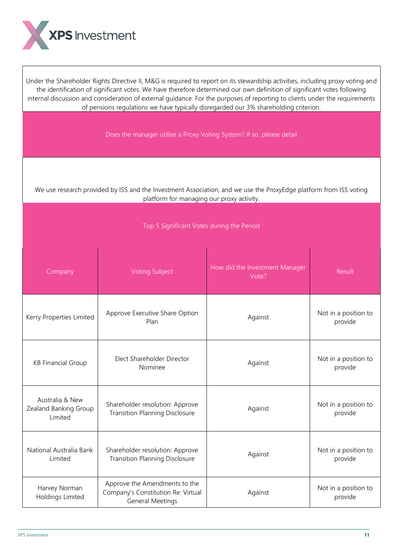

Under the Shareholder Rights Directive II, M&G is required to report on its stewardship activities, including proxy voting and the identification of significant votes. We have therefore determined our own definition of significant votes following internal discussion and consideration of external guidance. For the purposes of reporting to clients under the requirements of pensions regulations we have typically disregarded our 3% shareholding criterion.

Does the manager utilise a Proxy Voting System? If so, please detail

We use research provided by ISS and the Investment Association; and we use the ProxyEdge platform from ISS voting platform for managing our proxy activity.

Top 5 Significant Votes during the Period

| Company                                             | <b>Voting Subject</b>                                                                          | How did the Investment Manager<br>Vote?    | Result                          |
|-----------------------------------------------------|------------------------------------------------------------------------------------------------|--------------------------------------------|---------------------------------|
| Kerry Properties Limited                            | Approve Executive Share Option<br>Plan                                                         | Against                                    | Not in a position to<br>provide |
| <b>KB Financial Group</b>                           | Elect Shareholder Director<br>Nominee                                                          | Against                                    | Not in a position to<br>provide |
| Australia & New<br>Zealand Banking Group<br>Limited | Shareholder resolution: Approve<br><b>Transition Planning Disclosure</b>                       | Against                                    | Not in a position to<br>provide |
| National Australia Bank<br>Limited                  | Shareholder resolution: Approve<br><b>Transition Planning Disclosure</b>                       | Not in a position to<br>Against<br>provide |                                 |
| Harvey Norman<br>Holdings Limited                   | Approve the Amendments to the<br>Company's Constitution Re: Virtual<br><b>General Meetings</b> | Against                                    | Not in a position to<br>provide |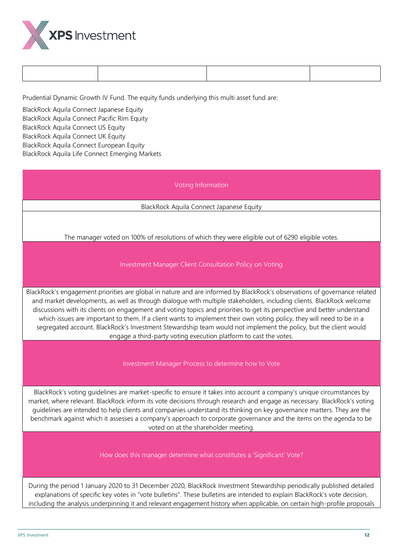

Prudential Dynamic Growth IV Fund. The equity funds underlying this multi asset fund are:

BlackRock Aquila Connect Japanese Equity BlackRock Aquila Connect Pacific Rim Equity BlackRock Aquila Connect US Equity BlackRock Aquila Connect UK Equity BlackRock Aquila Connect European Equity BlackRock Aquila Life Connect Emerging Markets

Voting Information

BlackRock Aquila Connect Japanese Equity

The manager voted on 100% of resolutions of which they were eligible out of 6290 eligible votes.

Investment Manager Client Consultation Policy on Voting

BlackRock's engagement priorities are global in nature and are informed by BlackRock's observations of governance related and market developments, as well as through dialogue with multiple stakeholders, including clients. BlackRock welcome discussions with its clients on engagement and voting topics and priorities to get its perspective and better understand which issues are important to them. If a client wants to implement their own voting policy, they will need to be in a segregated account. BlackRock's Investment Stewardship team would not implement the policy, but the client would engage a third-party voting execution platform to cast the votes.

Investment Manager Process to determine how to Vote

BlackRock's voting guidelines are market-specific to ensure it takes into account a company's unique circumstances by market, where relevant. BlackRock inform its vote decisions through research and engage as necessary. BlackRock's voting guidelines are intended to help clients and companies understand its thinking on key governance matters. They are the benchmark against which it assesses a company's approach to corporate governance and the items on the agenda to be voted on at the shareholder meeting.

How does this manager determine what constitutes a 'Significant' Vote?

During the period 1 January 2020 to 31 December 2020, BlackRock Investment Stewardship periodically published detailed explanations of specific key votes in "vote bulletins". These bulletins are intended to explain BlackRock's vote decision, including the analysis underpinning it and relevant engagement history when applicable, on certain high-profile proposals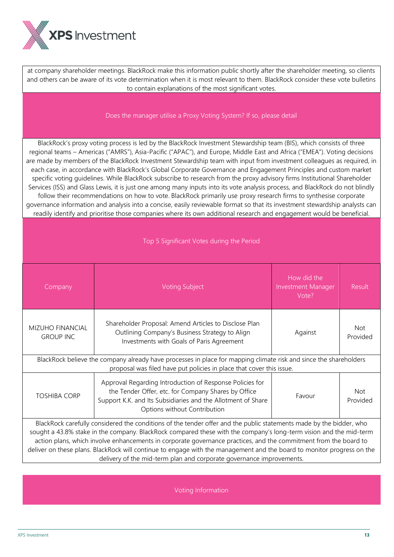

at company shareholder meetings. BlackRock make this information public shortly after the shareholder meeting, so clients and others can be aware of its vote determination when it is most relevant to them. BlackRock consider these vote bulletins to contain explanations of the most significant votes.

#### Does the manager utilise a Proxy Voting System? If so, please detail

BlackRock's proxy voting process is led by the BlackRock Investment Stewardship team (BIS), which consists of three regional teams – Americas ("AMRS"), Asia-Pacific ("APAC"), and Europe, Middle East and Africa ("EMEA"). Voting decisions are made by members of the BlackRock Investment Stewardship team with input from investment colleagues as required, in each case, in accordance with BlackRock's Global Corporate Governance and Engagement Principles and custom market specific voting guidelines. While BlackRock subscribe to research from the proxy advisory firms Institutional Shareholder Services (ISS) and Glass Lewis, it is just one among many inputs into its vote analysis process, and BlackRock do not blindly follow their recommendations on how to vote. BlackRock primarily use proxy research firms to synthesise corporate governance information and analysis into a concise, easily reviewable format so that its investment stewardship analysts can readily identify and prioritise those companies where its own additional research and engagement would be beneficial.

| Top 5 Significant Votes during the Period                                                                                                                                                                                                                                                                                                                                                                                                                                                                                                                       |                                                                                                                                                                                                                 |                                                   |                        |  |
|-----------------------------------------------------------------------------------------------------------------------------------------------------------------------------------------------------------------------------------------------------------------------------------------------------------------------------------------------------------------------------------------------------------------------------------------------------------------------------------------------------------------------------------------------------------------|-----------------------------------------------------------------------------------------------------------------------------------------------------------------------------------------------------------------|---------------------------------------------------|------------------------|--|
| Company                                                                                                                                                                                                                                                                                                                                                                                                                                                                                                                                                         | <b>Voting Subject</b>                                                                                                                                                                                           | How did the<br><b>Investment Manager</b><br>Vote? | Result                 |  |
| <b>MIZUHO FINANCIAL</b><br><b>GROUP INC</b>                                                                                                                                                                                                                                                                                                                                                                                                                                                                                                                     | Shareholder Proposal: Amend Articles to Disclose Plan<br>Outlining Company's Business Strategy to Align<br>Investments with Goals of Paris Agreement                                                            | Against                                           | <b>Not</b><br>Provided |  |
|                                                                                                                                                                                                                                                                                                                                                                                                                                                                                                                                                                 | BlackRock believe the company already have processes in place for mapping climate risk and since the shareholders<br>proposal was filed have put policies in place that cover this issue.                       |                                                   |                        |  |
| <b>TOSHIBA CORP</b>                                                                                                                                                                                                                                                                                                                                                                                                                                                                                                                                             | Approval Regarding Introduction of Response Policies for<br>the Tender Offer, etc. for Company Shares by Office<br>Support K.K. and Its Subsidiaries and the Allotment of Share<br>Options without Contribution | Favour                                            | Not<br>Provided        |  |
| BlackRock carefully considered the conditions of the tender offer and the public statements made by the bidder, who<br>sought a 43.8% stake in the company. BlackRock compared these with the company's long-term vision and the mid-term<br>action plans, which involve enhancements in corporate governance practices, and the commitment from the board to<br>deliver on these plans. BlackRock will continue to engage with the management and the board to monitor progress on the<br>delivery of the mid-term plan and corporate governance improvements. |                                                                                                                                                                                                                 |                                                   |                        |  |

Voting Information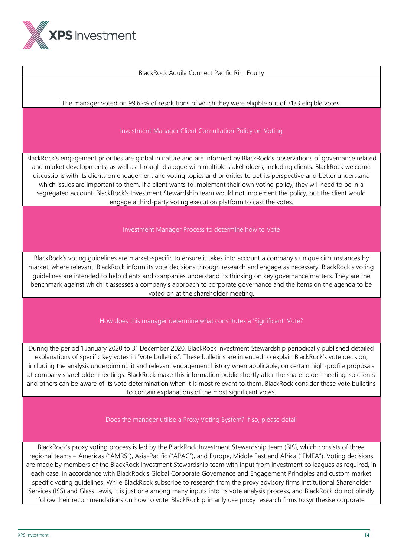

## BlackRock Aquila Connect Pacific Rim Equity

The manager voted on 99.62% of resolutions of which they were eligible out of 3133 eligible votes.

## Investment Manager Client Consultation Policy on Voting

BlackRock's engagement priorities are global in nature and are informed by BlackRock's observations of governance related and market developments, as well as through dialogue with multiple stakeholders, including clients. BlackRock welcome discussions with its clients on engagement and voting topics and priorities to get its perspective and better understand which issues are important to them. If a client wants to implement their own voting policy, they will need to be in a segregated account. BlackRock's Investment Stewardship team would not implement the policy, but the client would engage a third-party voting execution platform to cast the votes.

Investment Manager Process to determine how to Vote

BlackRock's voting guidelines are market-specific to ensure it takes into account a company's unique circumstances by market, where relevant. BlackRock inform its vote decisions through research and engage as necessary. BlackRock's voting guidelines are intended to help clients and companies understand its thinking on key governance matters. They are the benchmark against which it assesses a company's approach to corporate governance and the items on the agenda to be voted on at the shareholder meeting.

How does this manager determine what constitutes a 'Significant' Vote?

During the period 1 January 2020 to 31 December 2020, BlackRock Investment Stewardship periodically published detailed explanations of specific key votes in "vote bulletins". These bulletins are intended to explain BlackRock's vote decision, including the analysis underpinning it and relevant engagement history when applicable, on certain high-profile proposals at company shareholder meetings. BlackRock make this information public shortly after the shareholder meeting, so clients and others can be aware of its vote determination when it is most relevant to them. BlackRock consider these vote bulletins to contain explanations of the most significant votes.

Does the manager utilise a Proxy Voting System? If so, please detail

BlackRock's proxy voting process is led by the BlackRock Investment Stewardship team (BIS), which consists of three regional teams – Americas ("AMRS"), Asia-Pacific ("APAC"), and Europe, Middle East and Africa ("EMEA"). Voting decisions are made by members of the BlackRock Investment Stewardship team with input from investment colleagues as required, in each case, in accordance with BlackRock's Global Corporate Governance and Engagement Principles and custom market specific voting guidelines. While BlackRock subscribe to research from the proxy advisory firms Institutional Shareholder Services (ISS) and Glass Lewis, it is just one among many inputs into its vote analysis process, and BlackRock do not blindly follow their recommendations on how to vote. BlackRock primarily use proxy research firms to synthesise corporate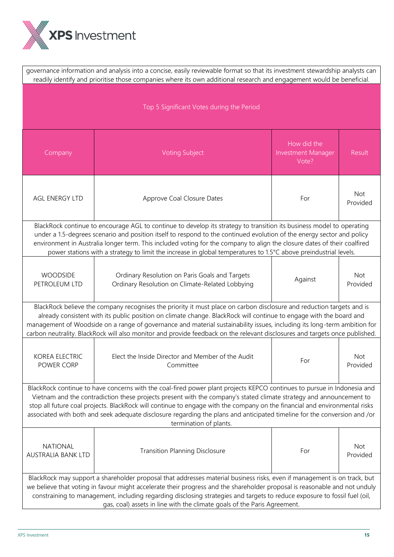

| governance information and analysis into a concise, easily reviewable format so that its investment stewardship analysts can<br>readily identify and prioritise those companies where its own additional research and engagement would be beneficial.                                                                                                                                                                                                                                                                               |                                                                                                                                                                                                                                                                                                                                                                                                                                                                                                         |                                                   |                        |  |
|-------------------------------------------------------------------------------------------------------------------------------------------------------------------------------------------------------------------------------------------------------------------------------------------------------------------------------------------------------------------------------------------------------------------------------------------------------------------------------------------------------------------------------------|---------------------------------------------------------------------------------------------------------------------------------------------------------------------------------------------------------------------------------------------------------------------------------------------------------------------------------------------------------------------------------------------------------------------------------------------------------------------------------------------------------|---------------------------------------------------|------------------------|--|
| Top 5 Significant Votes during the Period                                                                                                                                                                                                                                                                                                                                                                                                                                                                                           |                                                                                                                                                                                                                                                                                                                                                                                                                                                                                                         |                                                   |                        |  |
| Company                                                                                                                                                                                                                                                                                                                                                                                                                                                                                                                             | <b>Voting Subject</b>                                                                                                                                                                                                                                                                                                                                                                                                                                                                                   | How did the<br><b>Investment Manager</b><br>Vote? | <b>Result</b>          |  |
| <b>AGL ENERGY LTD</b>                                                                                                                                                                                                                                                                                                                                                                                                                                                                                                               | Approve Coal Closure Dates                                                                                                                                                                                                                                                                                                                                                                                                                                                                              | For                                               | Not<br>Provided        |  |
|                                                                                                                                                                                                                                                                                                                                                                                                                                                                                                                                     | BlackRock continue to encourage AGL to continue to develop its strategy to transition its business model to operating<br>under a 1.5-degrees scenario and position itself to respond to the continued evolution of the energy sector and policy<br>environment in Australia longer term. This included voting for the company to align the closure dates of their coalfired<br>power stations with a strategy to limit the increase in global temperatures to 1.5°C above preindustrial levels.         |                                                   |                        |  |
| <b>WOODSIDE</b><br>PETROLEUM LTD                                                                                                                                                                                                                                                                                                                                                                                                                                                                                                    | Ordinary Resolution on Paris Goals and Targets<br>Ordinary Resolution on Climate-Related Lobbying                                                                                                                                                                                                                                                                                                                                                                                                       | Against                                           | Not<br>Provided        |  |
|                                                                                                                                                                                                                                                                                                                                                                                                                                                                                                                                     | BlackRock believe the company recognises the priority it must place on carbon disclosure and reduction targets and is<br>already consistent with its public position on climate change. BlackRock will continue to engage with the board and<br>management of Woodside on a range of governance and material sustainability issues, including its long-term ambition for<br>carbon neutrality. BlackRock will also monitor and provide feedback on the relevant disclosures and targets once published. |                                                   |                        |  |
| <b>KOREA ELECTRIC</b><br>POWER CORP                                                                                                                                                                                                                                                                                                                                                                                                                                                                                                 | Elect the Inside Director and Member of the Audit<br>Committee                                                                                                                                                                                                                                                                                                                                                                                                                                          | For                                               | <b>Not</b><br>Provided |  |
| BlackRock continue to have concerns with the coal-fired power plant projects KEPCO continues to pursue in Indonesia and<br>Vietnam and the contradiction these projects present with the company's stated climate strategy and announcement to<br>stop all future coal projects. BlackRock will continue to engage with the company on the financial and environmental risks<br>associated with both and seek adequate disclosure regarding the plans and anticipated timeline for the conversion and /or<br>termination of plants. |                                                                                                                                                                                                                                                                                                                                                                                                                                                                                                         |                                                   |                        |  |
| <b>NATIONAL</b><br>AUSTRALIA BANK LTD                                                                                                                                                                                                                                                                                                                                                                                                                                                                                               | <b>Transition Planning Disclosure</b>                                                                                                                                                                                                                                                                                                                                                                                                                                                                   | For                                               | Not<br>Provided        |  |
| BlackRock may support a shareholder proposal that addresses material business risks, even if management is on track, but<br>we believe that voting in favour might accelerate their progress and the shareholder proposal is reasonable and not unduly<br>constraining to management, including regarding disclosing strategies and targets to reduce exposure to fossil fuel (oil,<br>gas, coal) assets in line with the climate goals of the Paris Agreement.                                                                     |                                                                                                                                                                                                                                                                                                                                                                                                                                                                                                         |                                                   |                        |  |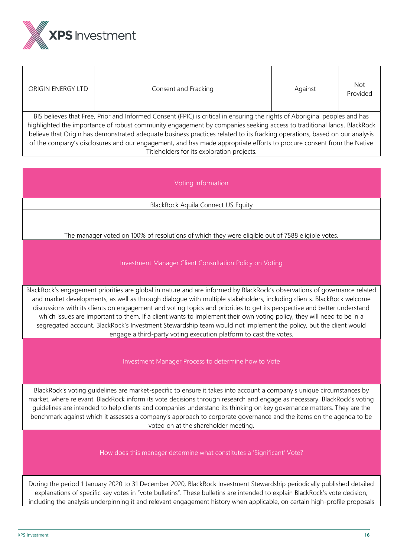

| ORIGIN ENERGY LTD                                                                                                                                                                                                                                                                                                                                                                                                                                                                                         | Consent and Fracking | Against | <b>Not</b><br>Provided |  |  |
|-----------------------------------------------------------------------------------------------------------------------------------------------------------------------------------------------------------------------------------------------------------------------------------------------------------------------------------------------------------------------------------------------------------------------------------------------------------------------------------------------------------|----------------------|---------|------------------------|--|--|
| BIS believes that Free, Prior and Informed Consent (FPIC) is critical in ensuring the rights of Aboriginal peoples and has<br>highlighted the importance of robust community engagement by companies seeking access to traditional lands. BlackRock<br>believe that Origin has demonstrated adequate business practices related to its fracking operations, based on our analysis<br>of the company's disclosures and our engagement, and has made appropriate efforts to procure consent from the Native |                      |         |                        |  |  |
| Titleholders for its exploration projects.                                                                                                                                                                                                                                                                                                                                                                                                                                                                |                      |         |                        |  |  |
|                                                                                                                                                                                                                                                                                                                                                                                                                                                                                                           |                      |         |                        |  |  |

Voting Information

BlackRock Aquila Connect US Equity

The manager voted on 100% of resolutions of which they were eligible out of 7588 eligible votes.

## Investment Manager Client Consultation Policy on Voting

BlackRock's engagement priorities are global in nature and are informed by BlackRock's observations of governance related and market developments, as well as through dialogue with multiple stakeholders, including clients. BlackRock welcome discussions with its clients on engagement and voting topics and priorities to get its perspective and better understand which issues are important to them. If a client wants to implement their own voting policy, they will need to be in a segregated account. BlackRock's Investment Stewardship team would not implement the policy, but the client would engage a third-party voting execution platform to cast the votes.

Investment Manager Process to determine how to Vote

BlackRock's voting guidelines are market-specific to ensure it takes into account a company's unique circumstances by market, where relevant. BlackRock inform its vote decisions through research and engage as necessary. BlackRock's voting guidelines are intended to help clients and companies understand its thinking on key governance matters. They are the benchmark against which it assesses a company's approach to corporate governance and the items on the agenda to be voted on at the shareholder meeting.

How does this manager determine what constitutes a 'Significant' Vote?

During the period 1 January 2020 to 31 December 2020, BlackRock Investment Stewardship periodically published detailed explanations of specific key votes in "vote bulletins". These bulletins are intended to explain BlackRock's vote decision, including the analysis underpinning it and relevant engagement history when applicable, on certain high-profile proposals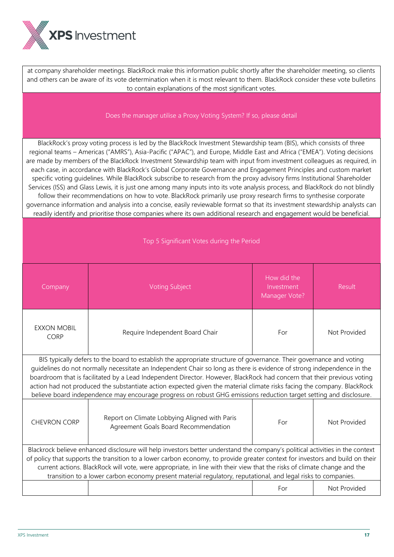

at company shareholder meetings. BlackRock make this information public shortly after the shareholder meeting, so clients and others can be aware of its vote determination when it is most relevant to them. BlackRock consider these vote bulletins to contain explanations of the most significant votes.

#### Does the manager utilise a Proxy Voting System? If so, please detail

BlackRock's proxy voting process is led by the BlackRock Investment Stewardship team (BIS), which consists of three regional teams – Americas ("AMRS"), Asia-Pacific ("APAC"), and Europe, Middle East and Africa ("EMEA"). Voting decisions are made by members of the BlackRock Investment Stewardship team with input from investment colleagues as required, in each case, in accordance with BlackRock's Global Corporate Governance and Engagement Principles and custom market specific voting guidelines. While BlackRock subscribe to research from the proxy advisory firms Institutional Shareholder Services (ISS) and Glass Lewis, it is just one among many inputs into its vote analysis process, and BlackRock do not blindly follow their recommendations on how to vote. BlackRock primarily use proxy research firms to synthesise corporate governance information and analysis into a concise, easily reviewable format so that its investment stewardship analysts can readily identify and prioritise those companies where its own additional research and engagement would be beneficial.

| Top 5 Significant Votes during the Period                                                                                                                                                                                                                                                                                                                                                                                                                                                                                                                                                                                 |                                                                                                               |                                            |              |  |
|---------------------------------------------------------------------------------------------------------------------------------------------------------------------------------------------------------------------------------------------------------------------------------------------------------------------------------------------------------------------------------------------------------------------------------------------------------------------------------------------------------------------------------------------------------------------------------------------------------------------------|---------------------------------------------------------------------------------------------------------------|--------------------------------------------|--------------|--|
| Company                                                                                                                                                                                                                                                                                                                                                                                                                                                                                                                                                                                                                   | <b>Voting Subject</b>                                                                                         | How did the<br>Investment<br>Manager Vote? | Result       |  |
| <b>EXXON MOBIL</b><br>CORP                                                                                                                                                                                                                                                                                                                                                                                                                                                                                                                                                                                                | Require Independent Board Chair                                                                               | For                                        | Not Provided |  |
| BIS typically defers to the board to establish the appropriate structure of governance. Their governance and voting<br>guidelines do not normally necessitate an Independent Chair so long as there is evidence of strong independence in the<br>boardroom that is facilitated by a Lead Independent Director. However, BlackRock had concern that their previous voting<br>action had not produced the substantiate action expected given the material climate risks facing the company. BlackRock<br>believe board independence may encourage progress on robust GHG emissions reduction target setting and disclosure. |                                                                                                               |                                            |              |  |
| <b>CHEVRON CORP</b>                                                                                                                                                                                                                                                                                                                                                                                                                                                                                                                                                                                                       | Report on Climate Lobbying Aligned with Paris<br>Agreement Goals Board Recommendation                         | For                                        | Not Provided |  |
| Blackrock believe enhanced disclosure will help investors better understand the company's political activities in the context                                                                                                                                                                                                                                                                                                                                                                                                                                                                                             |                                                                                                               |                                            |              |  |
| of policy that supports the transition to a lower carbon economy, to provide greater context for investors and build on their<br>current actions. BlackRock will vote, were appropriate, in line with their view that the risks of climate change and the                                                                                                                                                                                                                                                                                                                                                                 |                                                                                                               |                                            |              |  |
|                                                                                                                                                                                                                                                                                                                                                                                                                                                                                                                                                                                                                           | transition to a lower carbon economy present material regulatory, reputational, and legal risks to companies. |                                            |              |  |
|                                                                                                                                                                                                                                                                                                                                                                                                                                                                                                                                                                                                                           |                                                                                                               | For                                        | Not Provided |  |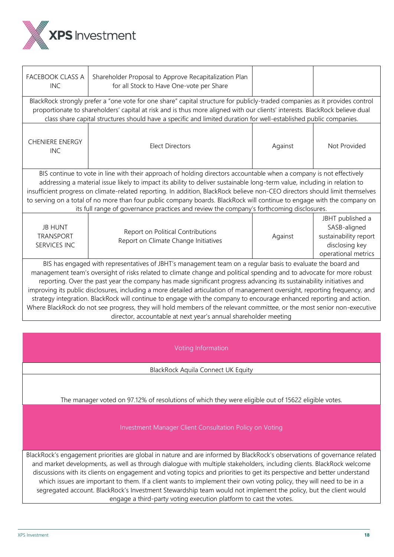

| FACEBOOK CLASS A<br><b>INC</b>                                                                                                                                                                                                                                                                                                                                                                                                                                                                                                                                                                                                                                                                                                                                                                                   | Shareholder Proposal to Approve Recapitalization Plan<br>for all Stock to Have One-vote per Share                                                                                                                                                                                                                                                                               |         |                                                                                                    |  |
|------------------------------------------------------------------------------------------------------------------------------------------------------------------------------------------------------------------------------------------------------------------------------------------------------------------------------------------------------------------------------------------------------------------------------------------------------------------------------------------------------------------------------------------------------------------------------------------------------------------------------------------------------------------------------------------------------------------------------------------------------------------------------------------------------------------|---------------------------------------------------------------------------------------------------------------------------------------------------------------------------------------------------------------------------------------------------------------------------------------------------------------------------------------------------------------------------------|---------|----------------------------------------------------------------------------------------------------|--|
|                                                                                                                                                                                                                                                                                                                                                                                                                                                                                                                                                                                                                                                                                                                                                                                                                  | BlackRock strongly prefer a "one vote for one share" capital structure for publicly-traded companies as it provides control<br>proportionate to shareholders' capital at risk and is thus more aligned with our clients' interests. BlackRock believe dual<br>class share capital structures should have a specific and limited duration for well-established public companies. |         |                                                                                                    |  |
| <b>CHENIERE ENERGY</b><br><b>INC</b>                                                                                                                                                                                                                                                                                                                                                                                                                                                                                                                                                                                                                                                                                                                                                                             | <b>Elect Directors</b>                                                                                                                                                                                                                                                                                                                                                          | Against | Not Provided                                                                                       |  |
| BIS continue to vote in line with their approach of holding directors accountable when a company is not effectively<br>addressing a material issue likely to impact its ability to deliver sustainable long-term value, including in relation to<br>insufficient progress on climate-related reporting. In addition, BlackRock believe non-CEO directors should limit themselves<br>to serving on a total of no more than four public company boards. BlackRock will continue to engage with the company on<br>its full range of governance practices and review the company's forthcoming disclosures.                                                                                                                                                                                                          |                                                                                                                                                                                                                                                                                                                                                                                 |         |                                                                                                    |  |
| <b>JB HUNT</b><br><b>TRANSPORT</b><br><b>SERVICES INC</b>                                                                                                                                                                                                                                                                                                                                                                                                                                                                                                                                                                                                                                                                                                                                                        | Report on Political Contributions<br>Report on Climate Change Initiatives                                                                                                                                                                                                                                                                                                       | Against | JBHT published a<br>SASB-aligned<br>sustainability report<br>disclosing key<br>operational metrics |  |
| BIS has engaged with representatives of JBHT's management team on a regular basis to evaluate the board and<br>management team's oversight of risks related to climate change and political spending and to advocate for more robust<br>reporting. Over the past year the company has made significant progress advancing its sustainability initiatives and<br>improving its public disclosures, including a more detailed articulation of management oversight, reporting frequency, and<br>strategy integration. BlackRock will continue to engage with the company to encourage enhanced reporting and action.<br>Where BlackRock do not see progress, they will hold members of the relevant committee, or the most senior non-executive<br>director, accountable at next year's annual shareholder meeting |                                                                                                                                                                                                                                                                                                                                                                                 |         |                                                                                                    |  |

Voting Information

BlackRock Aquila Connect UK Equity

The manager voted on 97.12% of resolutions of which they were eligible out of 15622 eligible votes.

Investment Manager Client Consultation Policy on Voting

BlackRock's engagement priorities are global in nature and are informed by BlackRock's observations of governance related and market developments, as well as through dialogue with multiple stakeholders, including clients. BlackRock welcome discussions with its clients on engagement and voting topics and priorities to get its perspective and better understand which issues are important to them. If a client wants to implement their own voting policy, they will need to be in a segregated account. BlackRock's Investment Stewardship team would not implement the policy, but the client would engage a third-party voting execution platform to cast the votes.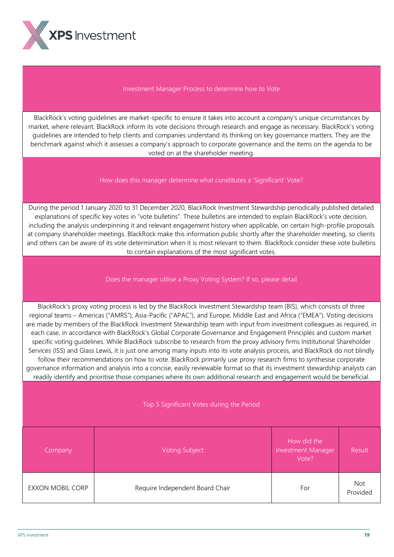

#### Investment Manager Process to determine how to Vote

BlackRock's voting guidelines are market-specific to ensure it takes into account a company's unique circumstances by market, where relevant. BlackRock inform its vote decisions through research and engage as necessary. BlackRock's voting guidelines are intended to help clients and companies understand its thinking on key governance matters. They are the benchmark against which it assesses a company's approach to corporate governance and the items on the agenda to be voted on at the shareholder meeting.

## How does this manager determine what constitutes a 'Significant' Vote?

During the period 1 January 2020 to 31 December 2020, BlackRock Investment Stewardship periodically published detailed explanations of specific key votes in "vote bulletins". These bulletins are intended to explain BlackRock's vote decision, including the analysis underpinning it and relevant engagement history when applicable, on certain high-profile proposals at company shareholder meetings. BlackRock make this information public shortly after the shareholder meeting, so clients and others can be aware of its vote determination when it is most relevant to them. BlackRock consider these vote bulletins to contain explanations of the most significant votes.

## Does the manager utilise a Proxy Voting System? If so, please detail

BlackRock's proxy voting process is led by the BlackRock Investment Stewardship team (BIS), which consists of three regional teams – Americas ("AMRS"), Asia-Pacific ("APAC"), and Europe, Middle East and Africa ("EMEA"). Voting decisions are made by members of the BlackRock Investment Stewardship team with input from investment colleagues as required, in each case, in accordance with BlackRock's Global Corporate Governance and Engagement Principles and custom market specific voting guidelines. While BlackRock subscribe to research from the proxy advisory firms Institutional Shareholder Services (ISS) and Glass Lewis, it is just one among many inputs into its vote analysis process, and BlackRock do not blindly follow their recommendations on how to vote. BlackRock primarily use proxy research firms to synthesise corporate governance information and analysis into a concise, easily reviewable format so that its investment stewardship analysts can readily identify and prioritise those companies where its own additional research and engagement would be beneficial.

#### Top 5 Significant Votes during the Period

| Company          | <b>Voting Subject</b>           | How did the<br>Investment Manager<br>Vote? | <b>Result</b>          |
|------------------|---------------------------------|--------------------------------------------|------------------------|
| EXXON MOBIL CORP | Require Independent Board Chair | For                                        | <b>Not</b><br>Provided |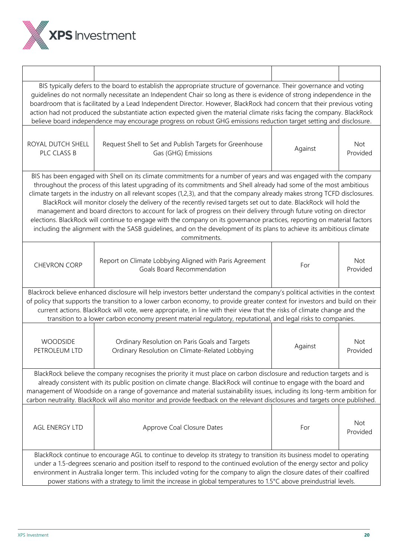

| BIS typically defers to the board to establish the appropriate structure of governance. Their governance and voting<br>quidelines do not normally necessitate an Independent Chair so long as there is evidence of strong independence in the<br>boardroom that is facilitated by a Lead Independent Director. However, BlackRock had concern that their previous voting<br>action had not produced the substantiate action expected given the material climate risks facing the company. BlackRock<br>believe board independence may encourage progress on robust GHG emissions reduction target setting and disclosure.                                                                                                                                                                                                                                                                   |                                                                                                                                                                                                                                                                                                                                                                                                                                                                                                             |         |                        |  |
|---------------------------------------------------------------------------------------------------------------------------------------------------------------------------------------------------------------------------------------------------------------------------------------------------------------------------------------------------------------------------------------------------------------------------------------------------------------------------------------------------------------------------------------------------------------------------------------------------------------------------------------------------------------------------------------------------------------------------------------------------------------------------------------------------------------------------------------------------------------------------------------------|-------------------------------------------------------------------------------------------------------------------------------------------------------------------------------------------------------------------------------------------------------------------------------------------------------------------------------------------------------------------------------------------------------------------------------------------------------------------------------------------------------------|---------|------------------------|--|
| ROYAL DUTCH SHELL<br>PLC CLASS B                                                                                                                                                                                                                                                                                                                                                                                                                                                                                                                                                                                                                                                                                                                                                                                                                                                            | Request Shell to Set and Publish Targets for Greenhouse<br>Gas (GHG) Emissions                                                                                                                                                                                                                                                                                                                                                                                                                              | Against | <b>Not</b><br>Provided |  |
| BIS has been engaged with Shell on its climate commitments for a number of years and was engaged with the company<br>throughout the process of this latest upgrading of its commitments and Shell already had some of the most ambitious<br>climate targets in the industry on all relevant scopes (1,2,3), and that the company already makes strong TCFD disclosures.<br>BlackRock will monitor closely the delivery of the recently revised targets set out to date. BlackRock will hold the<br>management and board directors to account for lack of progress on their delivery through future voting on director<br>elections. BlackRock will continue to engage with the company on its governance practices, reporting on material factors<br>including the alignment with the SASB guidelines, and on the development of its plans to achieve its ambitious climate<br>commitments. |                                                                                                                                                                                                                                                                                                                                                                                                                                                                                                             |         |                        |  |
| <b>CHEVRON CORP</b>                                                                                                                                                                                                                                                                                                                                                                                                                                                                                                                                                                                                                                                                                                                                                                                                                                                                         | Report on Climate Lobbying Aligned with Paris Agreement<br>Goals Board Recommendation                                                                                                                                                                                                                                                                                                                                                                                                                       | For     | <b>Not</b><br>Provided |  |
|                                                                                                                                                                                                                                                                                                                                                                                                                                                                                                                                                                                                                                                                                                                                                                                                                                                                                             | Blackrock believe enhanced disclosure will help investors better understand the company's political activities in the context<br>of policy that supports the transition to a lower carbon economy, to provide greater context for investors and build on their<br>current actions. BlackRock will vote, were appropriate, in line with their view that the risks of climate change and the<br>transition to a lower carbon economy present material regulatory, reputational, and legal risks to companies. |         |                        |  |
| <b>WOODSIDE</b><br>PETROLEUM LTD                                                                                                                                                                                                                                                                                                                                                                                                                                                                                                                                                                                                                                                                                                                                                                                                                                                            | Ordinary Resolution on Paris Goals and Targets<br>Ordinary Resolution on Climate-Related Lobbying                                                                                                                                                                                                                                                                                                                                                                                                           | Against | <b>Not</b><br>Provided |  |
| BlackRock believe the company recognises the priority it must place on carbon disclosure and reduction targets and is<br>already consistent with its public position on climate change. BlackRock will continue to engage with the board and<br>management of Woodside on a range of governance and material sustainability issues, including its long-term ambition for<br>carbon neutrality. BlackRock will also monitor and provide feedback on the relevant disclosures and targets once published.                                                                                                                                                                                                                                                                                                                                                                                     |                                                                                                                                                                                                                                                                                                                                                                                                                                                                                                             |         |                        |  |
| AGL ENERGY LTD                                                                                                                                                                                                                                                                                                                                                                                                                                                                                                                                                                                                                                                                                                                                                                                                                                                                              | Approve Coal Closure Dates                                                                                                                                                                                                                                                                                                                                                                                                                                                                                  | For     | Not<br>Provided        |  |
| BlackRock continue to encourage AGL to continue to develop its strategy to transition its business model to operating<br>under a 1.5-degrees scenario and position itself to respond to the continued evolution of the energy sector and policy<br>environment in Australia longer term. This included voting for the company to align the closure dates of their coalfired<br>power stations with a strategy to limit the increase in global temperatures to 1.5°C above preindustrial levels.                                                                                                                                                                                                                                                                                                                                                                                             |                                                                                                                                                                                                                                                                                                                                                                                                                                                                                                             |         |                        |  |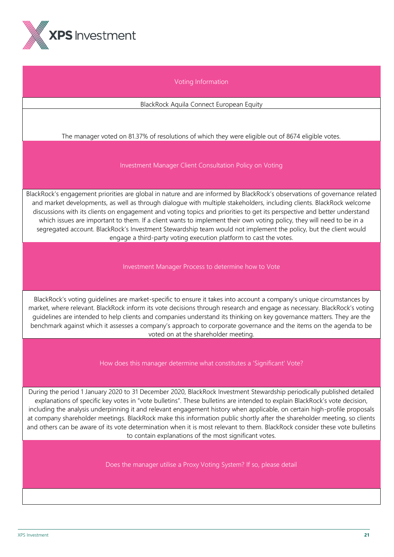

# Voting Information

BlackRock Aquila Connect European Equity

The manager voted on 81.37% of resolutions of which they were eligible out of 8674 eligible votes.

Investment Manager Client Consultation Policy on Voting

BlackRock's engagement priorities are global in nature and are informed by BlackRock's observations of governance related and market developments, as well as through dialogue with multiple stakeholders, including clients. BlackRock welcome discussions with its clients on engagement and voting topics and priorities to get its perspective and better understand which issues are important to them. If a client wants to implement their own voting policy, they will need to be in a segregated account. BlackRock's Investment Stewardship team would not implement the policy, but the client would engage a third-party voting execution platform to cast the votes.

Investment Manager Process to determine how to Vote

BlackRock's voting guidelines are market-specific to ensure it takes into account a company's unique circumstances by market, where relevant. BlackRock inform its vote decisions through research and engage as necessary. BlackRock's voting guidelines are intended to help clients and companies understand its thinking on key governance matters. They are the benchmark against which it assesses a company's approach to corporate governance and the items on the agenda to be voted on at the shareholder meeting.

How does this manager determine what constitutes a 'Significant' Vote?

During the period 1 January 2020 to 31 December 2020, BlackRock Investment Stewardship periodically published detailed explanations of specific key votes in "vote bulletins". These bulletins are intended to explain BlackRock's vote decision, including the analysis underpinning it and relevant engagement history when applicable, on certain high-profile proposals at company shareholder meetings. BlackRock make this information public shortly after the shareholder meeting, so clients and others can be aware of its vote determination when it is most relevant to them. BlackRock consider these vote bulletins to contain explanations of the most significant votes.

Does the manager utilise a Proxy Voting System? If so, please detail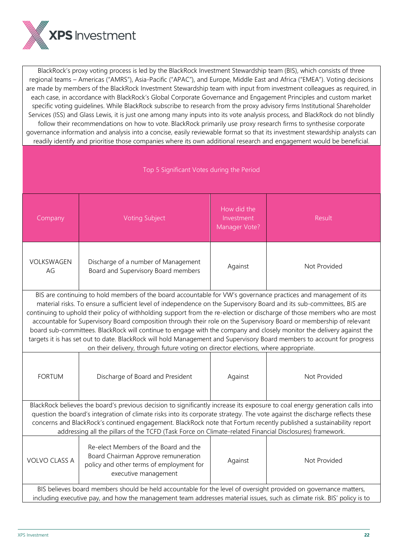

BlackRock's proxy voting process is led by the BlackRock Investment Stewardship team (BIS), which consists of three regional teams – Americas ("AMRS"), Asia-Pacific ("APAC"), and Europe, Middle East and Africa ("EMEA"). Voting decisions are made by members of the BlackRock Investment Stewardship team with input from investment colleagues as required, in each case, in accordance with BlackRock's Global Corporate Governance and Engagement Principles and custom market specific voting guidelines. While BlackRock subscribe to research from the proxy advisory firms Institutional Shareholder Services (ISS) and Glass Lewis, it is just one among many inputs into its vote analysis process, and BlackRock do not blindly follow their recommendations on how to vote. BlackRock primarily use proxy research firms to synthesise corporate governance information and analysis into a concise, easily reviewable format so that its investment stewardship analysts can readily identify and prioritise those companies where its own additional research and engagement would be beneficial.

| Top 5 Significant Votes during the Period                                                                                                                                                                                                                                                                                                                                                                                                                                                                                                                                                                                                                                                                                                                                                                                             |                                                                                                                                                                                                                                             |                                            |              |  |
|---------------------------------------------------------------------------------------------------------------------------------------------------------------------------------------------------------------------------------------------------------------------------------------------------------------------------------------------------------------------------------------------------------------------------------------------------------------------------------------------------------------------------------------------------------------------------------------------------------------------------------------------------------------------------------------------------------------------------------------------------------------------------------------------------------------------------------------|---------------------------------------------------------------------------------------------------------------------------------------------------------------------------------------------------------------------------------------------|--------------------------------------------|--------------|--|
| Company                                                                                                                                                                                                                                                                                                                                                                                                                                                                                                                                                                                                                                                                                                                                                                                                                               | <b>Voting Subject</b>                                                                                                                                                                                                                       | How did the<br>Investment<br>Manager Vote? | Result       |  |
| VOLKSWAGEN<br>AG                                                                                                                                                                                                                                                                                                                                                                                                                                                                                                                                                                                                                                                                                                                                                                                                                      | Discharge of a number of Management<br>Board and Supervisory Board members                                                                                                                                                                  | Against                                    | Not Provided |  |
| BIS are continuing to hold members of the board accountable for VW's governance practices and management of its<br>material risks. To ensure a sufficient level of independence on the Supervisory Board and its sub-committees, BIS are<br>continuing to uphold their policy of withholding support from the re-election or discharge of those members who are most<br>accountable for Supervisory Board composition through their role on the Supervisory Board or membership of relevant<br>board sub-committees. BlackRock will continue to engage with the company and closely monitor the delivery against the<br>targets it is has set out to date. BlackRock will hold Management and Supervisory Board members to account for progress<br>on their delivery, through future voting on director elections, where appropriate. |                                                                                                                                                                                                                                             |                                            |              |  |
| <b>FORTUM</b>                                                                                                                                                                                                                                                                                                                                                                                                                                                                                                                                                                                                                                                                                                                                                                                                                         | Discharge of Board and President                                                                                                                                                                                                            | Against                                    | Not Provided |  |
| BlackRock believes the board's previous decision to significantly increase its exposure to coal energy generation calls into<br>question the board's integration of climate risks into its corporate strategy. The vote against the discharge reflects these<br>concerns and BlackRock's continued engagement. BlackRock note that Fortum recently published a sustainability report<br>addressing all the pillars of the TCFD (Task Force on Climate-related Financial Disclosures) framework.                                                                                                                                                                                                                                                                                                                                       |                                                                                                                                                                                                                                             |                                            |              |  |
| <b>VOLVO CLASS A</b>                                                                                                                                                                                                                                                                                                                                                                                                                                                                                                                                                                                                                                                                                                                                                                                                                  | Re-elect Members of the Board and the<br>Board Chairman Approve remuneration<br>policy and other terms of employment for<br>executive management                                                                                            | Against                                    | Not Provided |  |
|                                                                                                                                                                                                                                                                                                                                                                                                                                                                                                                                                                                                                                                                                                                                                                                                                                       | BIS believes board members should be held accountable for the level of oversight provided on governance matters,<br>including executive pay, and how the management team addresses material issues, such as climate risk. BIS' policy is to |                                            |              |  |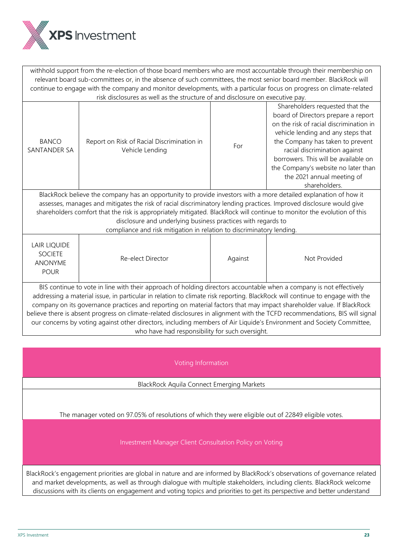

withhold support from the re-election of those board members who are most accountable through their membership on relevant board sub-committees or, in the absence of such committees, the most senior board member. BlackRock will continue to engage with the company and monitor developments, with a particular focus on progress on climate-related risk disclosures as well as the structure of and disclosure on executive pay. BANCO SANTANDER SA Report on Risk of Racial Discrimination in SK OF Nacial Discrimination in For Shareholders requested that the board of Directors prepare a report on the risk of racial discrimination in vehicle lending and any steps that the Company has taken to prevent racial discrimination against borrowers. This will be available on the Company's website no later than the 2021 annual meeting of shareholders. BlackRock believe the company has an opportunity to provide investors with a more detailed explanation of how it assesses, manages and mitigates the risk of racial discriminatory lending practices. Improved disclosure would give shareholders comfort that the risk is appropriately mitigated. BlackRock will continue to monitor the evolution of this disclosure and underlying business practices with regards to compliance and risk mitigation in relation to discriminatory lending. LAIR LIQUIDE SOCIETE ANONYME POUR Re-elect Director **Against** Not Provided BIS continue to vote in line with their approach of holding directors accountable when a company is not effectively addressing a material issue, in particular in relation to climate risk reporting. BlackRock will continue to engage with the company on its governance practices and reporting on material factors that may impact shareholder value. If BlackRock believe there is absent progress on climate-related disclosures in alignment with the TCFD recommendations, BIS will signal our concerns by voting against other directors, including members of Air Liquide's Environment and Society Committee, who have had responsibility for such oversight.

Voting Information

BlackRock Aquila Connect Emerging Markets

The manager voted on 97.05% of resolutions of which they were eligible out of 22849 eligible votes.

Investment Manager Client Consultation Policy on Voting

BlackRock's engagement priorities are global in nature and are informed by BlackRock's observations of governance related and market developments, as well as through dialogue with multiple stakeholders, including clients. BlackRock welcome discussions with its clients on engagement and voting topics and priorities to get its perspective and better understand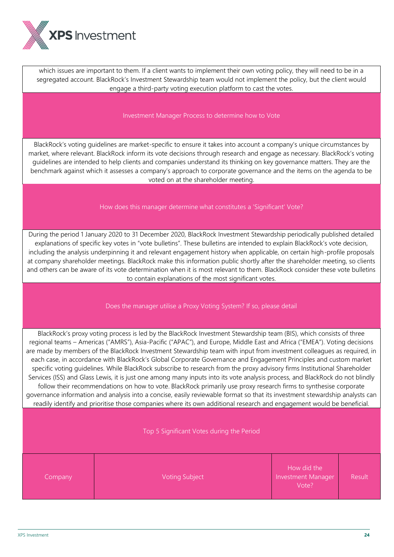

which issues are important to them. If a client wants to implement their own voting policy, they will need to be in a segregated account. BlackRock's Investment Stewardship team would not implement the policy, but the client would engage a third-party voting execution platform to cast the votes.

Investment Manager Process to determine how to Vote

BlackRock's voting guidelines are market-specific to ensure it takes into account a company's unique circumstances by market, where relevant. BlackRock inform its vote decisions through research and engage as necessary. BlackRock's voting guidelines are intended to help clients and companies understand its thinking on key governance matters. They are the benchmark against which it assesses a company's approach to corporate governance and the items on the agenda to be voted on at the shareholder meeting.

How does this manager determine what constitutes a 'Significant' Vote?

During the period 1 January 2020 to 31 December 2020, BlackRock Investment Stewardship periodically published detailed explanations of specific key votes in "vote bulletins". These bulletins are intended to explain BlackRock's vote decision, including the analysis underpinning it and relevant engagement history when applicable, on certain high-profile proposals at company shareholder meetings. BlackRock make this information public shortly after the shareholder meeting, so clients and others can be aware of its vote determination when it is most relevant to them. BlackRock consider these vote bulletins to contain explanations of the most significant votes.

Does the manager utilise a Proxy Voting System? If so, please detail

BlackRock's proxy voting process is led by the BlackRock Investment Stewardship team (BIS), which consists of three regional teams – Americas ("AMRS"), Asia-Pacific ("APAC"), and Europe, Middle East and Africa ("EMEA"). Voting decisions are made by members of the BlackRock Investment Stewardship team with input from investment colleagues as required, in each case, in accordance with BlackRock's Global Corporate Governance and Engagement Principles and custom market specific voting guidelines. While BlackRock subscribe to research from the proxy advisory firms Institutional Shareholder Services (ISS) and Glass Lewis, it is just one among many inputs into its vote analysis process, and BlackRock do not blindly follow their recommendations on how to vote. BlackRock primarily use proxy research firms to synthesise corporate governance information and analysis into a concise, easily reviewable format so that its investment stewardship analysts can readily identify and prioritise those companies where its own additional research and engagement would be beneficial.

Top 5 Significant Votes during the Period

**Company Voting Subject** 

How did the Investment Manager Vote? Result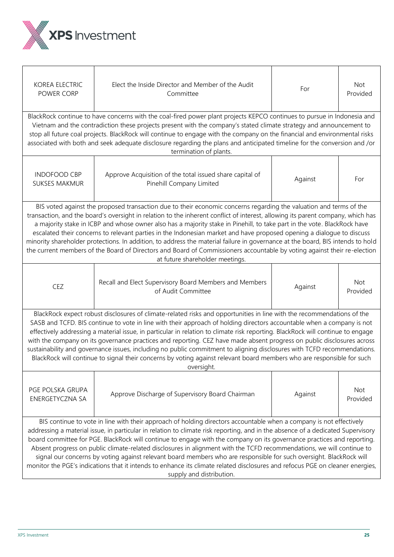

| <b>KOREA ELECTRIC</b><br>POWER CORP                                                                                                                                                                                                                                                                                                                                                                                                                                                                                                                                                                                                                                                                                                                                                                         | Elect the Inside Director and Member of the Audit<br>Committee                                                                                                                                                                                                                                                                                                                                                                                                                                                                      | For     | Not<br>Provided |  |
|-------------------------------------------------------------------------------------------------------------------------------------------------------------------------------------------------------------------------------------------------------------------------------------------------------------------------------------------------------------------------------------------------------------------------------------------------------------------------------------------------------------------------------------------------------------------------------------------------------------------------------------------------------------------------------------------------------------------------------------------------------------------------------------------------------------|-------------------------------------------------------------------------------------------------------------------------------------------------------------------------------------------------------------------------------------------------------------------------------------------------------------------------------------------------------------------------------------------------------------------------------------------------------------------------------------------------------------------------------------|---------|-----------------|--|
|                                                                                                                                                                                                                                                                                                                                                                                                                                                                                                                                                                                                                                                                                                                                                                                                             | BlackRock continue to have concerns with the coal-fired power plant projects KEPCO continues to pursue in Indonesia and<br>Vietnam and the contradiction these projects present with the company's stated climate strategy and announcement to<br>stop all future coal projects. BlackRock will continue to engage with the company on the financial and environmental risks<br>associated with both and seek adequate disclosure regarding the plans and anticipated timeline for the conversion and /or<br>termination of plants. |         |                 |  |
| <b>INDOFOOD CBP</b><br><b>SUKSES MAKMUR</b>                                                                                                                                                                                                                                                                                                                                                                                                                                                                                                                                                                                                                                                                                                                                                                 | Approve Acquisition of the total issued share capital of<br>Pinehill Company Limited                                                                                                                                                                                                                                                                                                                                                                                                                                                | Against | For             |  |
| BIS voted against the proposed transaction due to their economic concerns regarding the valuation and terms of the<br>transaction, and the board's oversight in relation to the inherent conflict of interest, allowing its parent company, which has<br>a majority stake in ICBP and whose owner also has a majority stake in Pinehill, to take part in the vote. BlackRock have<br>escalated their concerns to relevant parties in the Indonesian market and have proposed opening a dialogue to discuss<br>minority shareholder protections. In addition, to address the material failure in governance at the board, BIS intends to hold<br>the current members of the Board of Directors and Board of Commissioners accountable by voting against their re-election<br>at future shareholder meetings. |                                                                                                                                                                                                                                                                                                                                                                                                                                                                                                                                     |         |                 |  |
| CEZ                                                                                                                                                                                                                                                                                                                                                                                                                                                                                                                                                                                                                                                                                                                                                                                                         | Recall and Elect Supervisory Board Members and Members<br>of Audit Committee                                                                                                                                                                                                                                                                                                                                                                                                                                                        | Against | Not<br>Provided |  |
| BlackRock expect robust disclosures of climate-related risks and opportunities in line with the recommendations of the<br>SASB and TCFD. BIS continue to vote in line with their approach of holding directors accountable when a company is not<br>effectively addressing a material issue, in particular in relation to climate risk reporting. BlackRock will continue to engage<br>with the company on its governance practices and reporting. CEZ have made absent progress on public disclosures across<br>sustainability and governance issues, including no public commitment to aligning disclosures with TCFD recommendations.<br>BlackRock will continue to signal their concerns by voting against relevant board members who are responsible for such<br>oversight.                            |                                                                                                                                                                                                                                                                                                                                                                                                                                                                                                                                     |         |                 |  |
| PGE POLSKA GRUPA<br>ENERGETYCZNA SA                                                                                                                                                                                                                                                                                                                                                                                                                                                                                                                                                                                                                                                                                                                                                                         | Approve Discharge of Supervisory Board Chairman                                                                                                                                                                                                                                                                                                                                                                                                                                                                                     | Against | Not<br>Provided |  |
| BIS continue to vote in line with their approach of holding directors accountable when a company is not effectively<br>addressing a material issue, in particular in relation to climate risk reporting, and in the absence of a dedicated Supervisory<br>board committee for PGE. BlackRock will continue to engage with the company on its governance practices and reporting.<br>Absent progress on public climate-related disclosures in alignment with the TCFD recommendations, we will continue to<br>signal our concerns by voting against relevant board members who are responsible for such oversight. BlackRock will<br>monitor the PGE's indications that it intends to enhance its climate related disclosures and refocus PGE on cleaner energies,<br>supply and distribution.               |                                                                                                                                                                                                                                                                                                                                                                                                                                                                                                                                     |         |                 |  |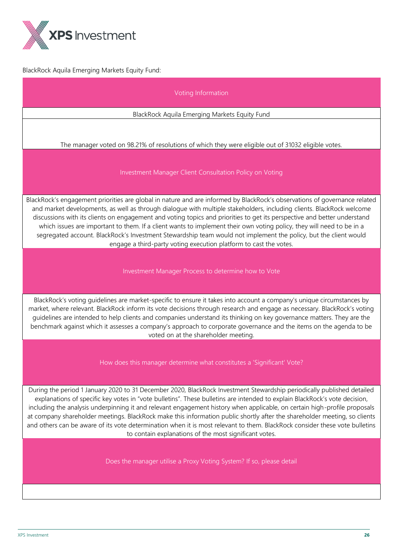

BlackRock Aquila Emerging Markets Equity Fund:

## Voting Information

## BlackRock Aquila Emerging Markets Equity Fund

## The manager voted on 98.21% of resolutions of which they were eligible out of 31032 eligible votes.

#### Investment Manager Client Consultation Policy on Voting

BlackRock's engagement priorities are global in nature and are informed by BlackRock's observations of governance related and market developments, as well as through dialogue with multiple stakeholders, including clients. BlackRock welcome discussions with its clients on engagement and voting topics and priorities to get its perspective and better understand which issues are important to them. If a client wants to implement their own voting policy, they will need to be in a segregated account. BlackRock's Investment Stewardship team would not implement the policy, but the client would engage a third-party voting execution platform to cast the votes.

#### Investment Manager Process to determine how to Vote

BlackRock's voting guidelines are market-specific to ensure it takes into account a company's unique circumstances by market, where relevant. BlackRock inform its vote decisions through research and engage as necessary. BlackRock's voting guidelines are intended to help clients and companies understand its thinking on key governance matters. They are the benchmark against which it assesses a company's approach to corporate governance and the items on the agenda to be voted on at the shareholder meeting.

How does this manager determine what constitutes a 'Significant' Vote?

During the period 1 January 2020 to 31 December 2020, BlackRock Investment Stewardship periodically published detailed explanations of specific key votes in "vote bulletins". These bulletins are intended to explain BlackRock's vote decision, including the analysis underpinning it and relevant engagement history when applicable, on certain high-profile proposals at company shareholder meetings. BlackRock make this information public shortly after the shareholder meeting, so clients and others can be aware of its vote determination when it is most relevant to them. BlackRock consider these vote bulletins to contain explanations of the most significant votes.

Does the manager utilise a Proxy Voting System? If so, please detail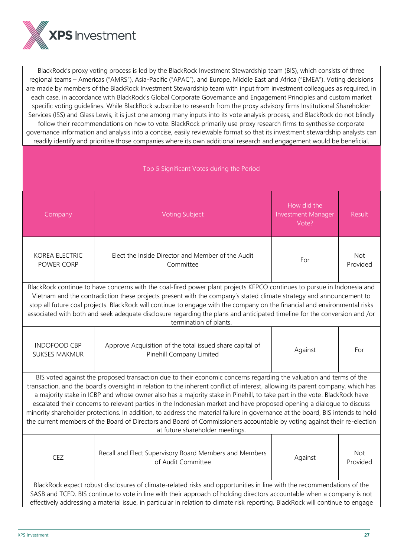

BlackRock's proxy voting process is led by the BlackRock Investment Stewardship team (BIS), which consists of three regional teams – Americas ("AMRS"), Asia-Pacific ("APAC"), and Europe, Middle East and Africa ("EMEA"). Voting decisions are made by members of the BlackRock Investment Stewardship team with input from investment colleagues as required, in each case, in accordance with BlackRock's Global Corporate Governance and Engagement Principles and custom market specific voting guidelines. While BlackRock subscribe to research from the proxy advisory firms Institutional Shareholder Services (ISS) and Glass Lewis, it is just one among many inputs into its vote analysis process, and BlackRock do not blindly follow their recommendations on how to vote. BlackRock primarily use proxy research firms to synthesise corporate governance information and analysis into a concise, easily reviewable format so that its investment stewardship analysts can readily identify and prioritise those companies where its own additional research and engagement would be beneficial.

| Top 5 Significant Votes during the Period                                                                                                                                                                                                                                                                                                                                                                                                                                                                                                                                                                                                                                                                                                                                                                   |                                                                                      |                                                   |                        |  |
|-------------------------------------------------------------------------------------------------------------------------------------------------------------------------------------------------------------------------------------------------------------------------------------------------------------------------------------------------------------------------------------------------------------------------------------------------------------------------------------------------------------------------------------------------------------------------------------------------------------------------------------------------------------------------------------------------------------------------------------------------------------------------------------------------------------|--------------------------------------------------------------------------------------|---------------------------------------------------|------------------------|--|
| Company                                                                                                                                                                                                                                                                                                                                                                                                                                                                                                                                                                                                                                                                                                                                                                                                     | <b>Voting Subject</b>                                                                | How did the<br><b>Investment Manager</b><br>Vote? | Result                 |  |
| <b>KOREA ELECTRIC</b><br>POWER CORP                                                                                                                                                                                                                                                                                                                                                                                                                                                                                                                                                                                                                                                                                                                                                                         | Elect the Inside Director and Member of the Audit<br>Committee                       | For                                               | <b>Not</b><br>Provided |  |
| BlackRock continue to have concerns with the coal-fired power plant projects KEPCO continues to pursue in Indonesia and<br>Vietnam and the contradiction these projects present with the company's stated climate strategy and announcement to<br>stop all future coal projects. BlackRock will continue to engage with the company on the financial and environmental risks<br>associated with both and seek adequate disclosure regarding the plans and anticipated timeline for the conversion and /or<br>termination of plants.                                                                                                                                                                                                                                                                         |                                                                                      |                                                   |                        |  |
| <b>INDOFOOD CBP</b><br><b>SUKSES MAKMUR</b>                                                                                                                                                                                                                                                                                                                                                                                                                                                                                                                                                                                                                                                                                                                                                                 | Approve Acquisition of the total issued share capital of<br>Pinehill Company Limited | Against                                           | For                    |  |
| BIS voted against the proposed transaction due to their economic concerns regarding the valuation and terms of the<br>transaction, and the board's oversight in relation to the inherent conflict of interest, allowing its parent company, which has<br>a majority stake in ICBP and whose owner also has a majority stake in Pinehill, to take part in the vote. BlackRock have<br>escalated their concerns to relevant parties in the Indonesian market and have proposed opening a dialogue to discuss<br>minority shareholder protections. In addition, to address the material failure in governance at the board, BIS intends to hold<br>the current members of the Board of Directors and Board of Commissioners accountable by voting against their re-election<br>at future shareholder meetings. |                                                                                      |                                                   |                        |  |
| CEZ                                                                                                                                                                                                                                                                                                                                                                                                                                                                                                                                                                                                                                                                                                                                                                                                         | Recall and Elect Supervisory Board Members and Members<br>of Audit Committee         | Against                                           | Not<br>Provided        |  |
| BlackRock expect robust disclosures of climate-related risks and opportunities in line with the recommendations of the<br>SASB and TCFD. BIS continue to vote in line with their approach of holding directors accountable when a company is not<br>effectively addressing a material issue, in particular in relation to climate risk reporting. BlackRock will continue to engage                                                                                                                                                                                                                                                                                                                                                                                                                         |                                                                                      |                                                   |                        |  |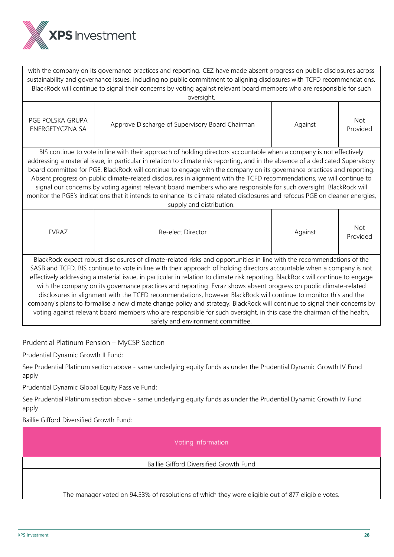

with the company on its governance practices and reporting. CEZ have made absent progress on public disclosures across sustainability and governance issues, including no public commitment to aligning disclosures with TCFD recommendations. BlackRock will continue to signal their concerns by voting against relevant board members who are responsible for such oversight.

| PGE POLSKA GRUPA<br>ENERGETYCZNA SA                                                                                             | Approve Discharge of Supervisory Board Chairman | Against | <b>Not</b><br>Provided |  |  |
|---------------------------------------------------------------------------------------------------------------------------------|-------------------------------------------------|---------|------------------------|--|--|
| BIS continue to vote in line with their approach of holding directors accountable when a company is not effectively             |                                                 |         |                        |  |  |
| addressing a material issue, in particular in relation to climate risk reporting, and in the absence of a dedicated Supervisory |                                                 |         |                        |  |  |
| board committee for PGE. BlackRock will continue to engage with the company on its governance practices and reporting.          |                                                 |         |                        |  |  |

Absent progress on public climate-related disclosures in alignment with the TCFD recommendations, we will continue to signal our concerns by voting against relevant board members who are responsible for such oversight. BlackRock will monitor the PGE's indications that it intends to enhance its climate related disclosures and refocus PGE on cleaner energies, supply and distribution.

| <b>FVRAZ</b>                                                                                                                                                                                                                   | Re-elect Director                                                                                                      | Against | <b>Not</b><br>Provided |  |
|--------------------------------------------------------------------------------------------------------------------------------------------------------------------------------------------------------------------------------|------------------------------------------------------------------------------------------------------------------------|---------|------------------------|--|
|                                                                                                                                                                                                                                | BlackRock expect robust disclosures of climate-related risks and opportunities in line with the recommendations of the |         |                        |  |
|                                                                                                                                                                                                                                | SASB and TCFD. BIS continue to vote in line with their approach of holding directors accountable when a company is not |         |                        |  |
| effectively addressing a material issue, in particular in relation to climate risk reporting. BlackRock will continue to engage                                                                                                |                                                                                                                        |         |                        |  |
| with the company on its governance practices and reporting. Evraz shows absent progress on public climate-related                                                                                                              |                                                                                                                        |         |                        |  |
| disclosures in alignment with the TCFD recommendations, however BlackRock will continue to monitor this and the                                                                                                                |                                                                                                                        |         |                        |  |
| concerning along as four-disc of something a shown well as the fundament. Blockbard along the second second service and how the second local services of the service of the service of the service of the service of the servi |                                                                                                                        |         |                        |  |

company's plans to formalise a new climate change policy and strategy. BlackRock will continue to signal their concerns by voting against relevant board members who are responsible for such oversight, in this case the chairman of the health, safety and environment committee.

Prudential Platinum Pension – MyCSP Section

Prudential Dynamic Growth II Fund:

See Prudential Platinum section above - same underlying equity funds as under the Prudential Dynamic Growth IV Fund apply

Prudential Dynamic Global Equity Passive Fund:

See Prudential Platinum section above - same underlying equity funds as under the Prudential Dynamic Growth IV Fund apply

Baillie Gifford Diversified Growth Fund:

Voting Information

Baillie Gifford Diversified Growth Fund

The manager voted on 94.53% of resolutions of which they were eligible out of 877 eligible votes.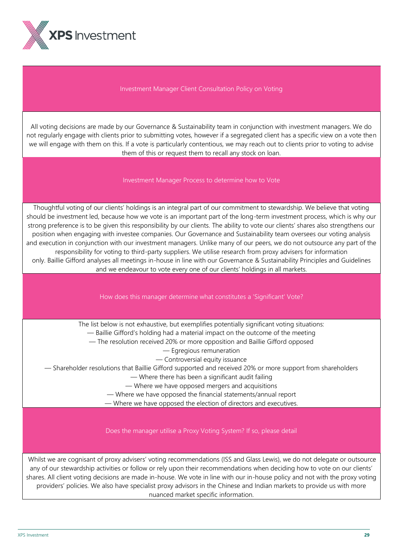

## Investment Manager Client Consultation Policy on Voting

All voting decisions are made by our Governance & Sustainability team in conjunction with investment managers. We do not regularly engage with clients prior to submitting votes, however if a segregated client has a specific view on a vote then we will engage with them on this. If a vote is particularly contentious, we may reach out to clients prior to voting to advise them of this or request them to recall any stock on loan.

#### Investment Manager Process to determine how to Vote

Thoughtful voting of our clients' holdings is an integral part of our commitment to stewardship. We believe that voting should be investment led, because how we vote is an important part of the long-term investment process, which is why our strong preference is to be given this responsibility by our clients. The ability to vote our clients' shares also strengthens our position when engaging with investee companies. Our Governance and Sustainability team oversees our voting analysis and execution in conjunction with our investment managers. Unlike many of our peers, we do not outsource any part of the responsibility for voting to third-party suppliers. We utilise research from proxy advisers for information only. Baillie Gifford analyses all meetings in-house in line with our Governance & Sustainability Principles and Guidelines and we endeavour to vote every one of our clients' holdings in all markets.

## How does this manager determine what constitutes a 'Significant' Vote?

The list below is not exhaustive, but exemplifies potentially significant voting situations:

- Baillie Gifford's holding had a material impact on the outcome of the meeting
- The resolution received 20% or more opposition and Baillie Gifford opposed
	- Egregious remuneration

— Controversial equity issuance

— Shareholder resolutions that Baillie Gifford supported and received 20% or more support from shareholders

— Where there has been a significant audit failing

— Where we have opposed mergers and acquisitions

— Where we have opposed the financial statements/annual report

— Where we have opposed the election of directors and executives.

Does the manager utilise a Proxy Voting System? If so, please detail

 Whilst we are cognisant of proxy advisers' voting recommendations (ISS and Glass Lewis), we do not delegate or outsource any of our stewardship activities or follow or rely upon their recommendations when deciding how to vote on our clients' shares. All client voting decisions are made in-house. We vote in line with our in-house policy and not with the proxy voting providers' policies. We also have specialist proxy advisors in the Chinese and Indian markets to provide us with more nuanced market specific information.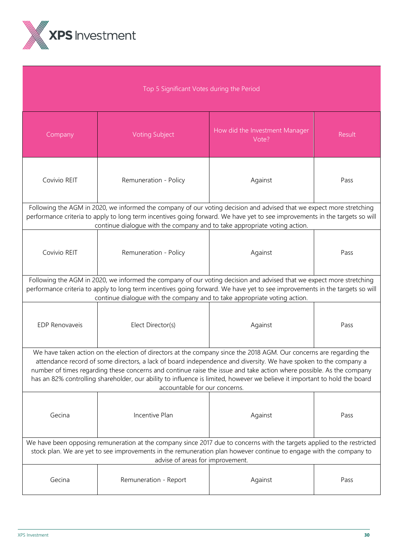

| Top 5 Significant Votes during the Period                                                                                                                                                                                                                                                                                                                                                                                                                                                                                      |                                                                                                                                                                                                                                                                                                                                  |                                         |        |  |
|--------------------------------------------------------------------------------------------------------------------------------------------------------------------------------------------------------------------------------------------------------------------------------------------------------------------------------------------------------------------------------------------------------------------------------------------------------------------------------------------------------------------------------|----------------------------------------------------------------------------------------------------------------------------------------------------------------------------------------------------------------------------------------------------------------------------------------------------------------------------------|-----------------------------------------|--------|--|
| Company                                                                                                                                                                                                                                                                                                                                                                                                                                                                                                                        | <b>Voting Subject</b>                                                                                                                                                                                                                                                                                                            | How did the Investment Manager<br>Vote? | Result |  |
| Covivio REIT                                                                                                                                                                                                                                                                                                                                                                                                                                                                                                                   | Remuneration - Policy                                                                                                                                                                                                                                                                                                            | Against                                 | Pass   |  |
|                                                                                                                                                                                                                                                                                                                                                                                                                                                                                                                                | Following the AGM in 2020, we informed the company of our voting decision and advised that we expect more stretching<br>performance criteria to apply to long term incentives going forward. We have yet to see improvements in the targets so will<br>continue dialogue with the company and to take appropriate voting action. |                                         |        |  |
| Covivio REIT                                                                                                                                                                                                                                                                                                                                                                                                                                                                                                                   | Remuneration - Policy                                                                                                                                                                                                                                                                                                            | Against                                 | Pass   |  |
|                                                                                                                                                                                                                                                                                                                                                                                                                                                                                                                                | Following the AGM in 2020, we informed the company of our voting decision and advised that we expect more stretching<br>performance criteria to apply to long term incentives going forward. We have yet to see improvements in the targets so will<br>continue dialogue with the company and to take appropriate voting action. |                                         |        |  |
| EDP Renovaveis                                                                                                                                                                                                                                                                                                                                                                                                                                                                                                                 | Elect Director(s)                                                                                                                                                                                                                                                                                                                | Against                                 | Pass   |  |
| We have taken action on the election of directors at the company since the 2018 AGM. Our concerns are regarding the<br>attendance record of some directors, a lack of board independence and diversity. We have spoken to the company a<br>number of times regarding these concerns and continue raise the issue and take action where possible. As the company<br>has an 82% controlling shareholder, our ability to influence is limited, however we believe it important to hold the board<br>accountable for our concerns. |                                                                                                                                                                                                                                                                                                                                  |                                         |        |  |
| Gecina                                                                                                                                                                                                                                                                                                                                                                                                                                                                                                                         | Incentive Plan                                                                                                                                                                                                                                                                                                                   | Against                                 | Pass   |  |
| We have been opposing remuneration at the company since 2017 due to concerns with the targets applied to the restricted<br>stock plan. We are yet to see improvements in the remuneration plan however continue to engage with the company to<br>advise of areas for improvement.                                                                                                                                                                                                                                              |                                                                                                                                                                                                                                                                                                                                  |                                         |        |  |
| Gecina                                                                                                                                                                                                                                                                                                                                                                                                                                                                                                                         | Remuneration - Report                                                                                                                                                                                                                                                                                                            | Against                                 | Pass   |  |